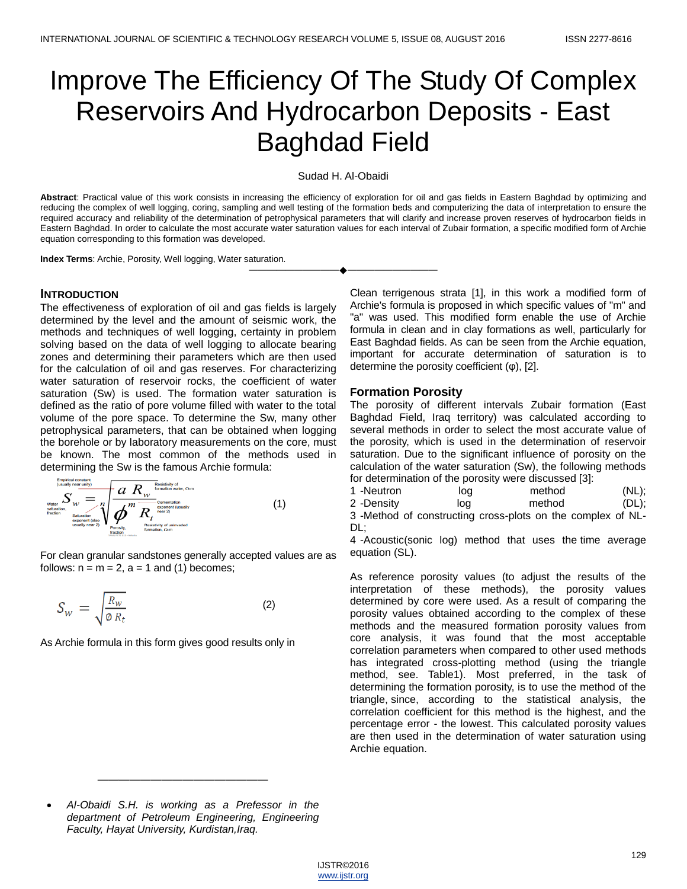# Improve The Efficiency Of The Study Of Complex Reservoirs And Hydrocarbon Deposits - East Baghdad Field

Sudad H. Al-Obaidi

**Abstract**: Practical value of this work consists in increasing the efficiency of exploration for oil and gas fields in Eastern Baghdad by optimizing and reducing the complex of well logging, coring, sampling and well testing of the formation beds and computerizing the data of interpretation to ensure the required accuracy and reliability of the determination of petrophysical parameters that will clarify and increase proven reserves of hydrocarbon fields in Eastern Baghdad. In order to calculate the most accurate water saturation values for each interval of Zubair formation, a specific modified form of Archie equation corresponding to this formation was developed.

————————————————————

**Index Terms**: Archie, Porosity, Well logging, Water saturation.

#### **INTRODUCTION**

The effectiveness of exploration of oil and gas fields is largely determined by the level and the amount of seismic work, the methods and techniques of well logging, certainty in problem solving based on the data of well logging to allocate bearing zones and determining their parameters which are then used for the calculation of oil and gas reserves. For characterizing water saturation of reservoir rocks, the coefficient of water saturation (Sw) is used. The formation water saturation is defined as the ratio of pore volume filled with water to the total volume of the pore space. To determine the Sw, many other petrophysical parameters, that can be obtained when logging the borehole or by laboratory measurements on the core, must be known. The most common of the methods used in determining the Sw is the famous Archie formula:

$$
\sum_{\text{values of } \text{subspace, } \text{ } \text{value}} \sum_{\text{subratio}} \sum_{\text{subratio}} \sum_{\text{subratio}} \frac{a}{n} \sqrt{\frac{R_{\text{subscript}}}{m} \sum_{\text{subratio}} \sum_{\text{subratio}} \sum_{\text{subratio}} \sum_{\text{subratio}} \sum_{\text{subratio}} \sum_{\text{subratio}} \sum_{\text{subratio}} \sum_{\text{subratio}} \sum_{\text{subratio}} \sum_{\text{subratio}} \sum_{\text{subratio}} \sum_{\text{subratio}} \sum_{\text{subratio}} \sum_{\text{subratio}} \sum_{\text{subratio}} \sum_{\text{subratio}} \sum_{\text{subratio}} \sum_{\text{subratio}} \sum_{\text{subratio}} \sum_{\text{subratio}} \sum_{\text{subratio}} \sum_{\text{subratio}} \sum_{\text{subratio}} \sum_{\text{subratio}} \sum_{\text{subratio}} \sum_{\text{subratio}} \sum_{\text{subratio}} \sum_{\text{subratio}} \sum_{\text{subratio}} \sum_{\text{subratio}} \sum_{\text{subratio}} \sum_{\text{subratio}} \sum_{\text{subratio}} \sum_{\text{subratio}} \sum_{\text{subratio}} \sum_{\text{subratio}} \sum_{\text{subratio}} \sum_{\text{subratio}} \sum_{\text{subratio}} \sum_{\text{subratio}} \sum_{\text{subratio}} \sum_{\text{subratio}} \sum_{\text{subratio}} \sum_{\text{subratio}} \sum_{\text{subratio}} \sum_{\text{subratio}} \sum_{\text{subratio}} \sum_{\text{subratio}} \sum_{\text{subratio}} \sum_{\text{subratio}} \sum_{\text{subratio}} \sum_{\text{subratio}} \sum_{\text{subratio}} \sum_{\text{subratio}} \sum_{\text{subratio}} \sum_{\text{subratio}} \sum_{\text{subratio}} \sum_{\text{subratio}} \sum_{\text{subratio}} \sum_{\text{subratio}} \sum_{\text{subratio}} \sum_{\text{subratio}} \sum_{\text{subratio}} \sum_{\text{subratio}} \sum_{\text{subratio}} \sum_{\text{subratio}} \sum_{\text{subratio}} \sum_{\text{subratio}} \sum_{\text{subratio}} \sum_{\text{subratio}} \sum_{\text{subratio}} \sum_{\text{subratio}} \sum_{\text{subratio}} \sum_{\text{subratio}} \sum_{\text{subratio}} \sum_{\text{subratio}} \
$$

For clean granular sandstones generally accepted values are as follows:  $n = m = 2$ ,  $a = 1$  and (1) becomes;

$$
S_w = \sqrt{\frac{R_w}{\phi R_t}}
$$
 (2)

As Archie formula in this form gives good results only in

Clean terrigenous strata [1], in this work a modified form of Archie's formula is proposed in which specific values of "m" and "a" was used. This modified form enable the use of Archie formula in clean and in clay formations as well, particularly for East Baghdad fields. As can be seen from the Archie equation, important for accurate determination of saturation is to determine the porosity coefficient (φ), [2].

## **Formation Porosity**

The porosity of different intervals Zubair formation (East Baghdad Field, Iraq territory) was calculated according to several methods in order to select the most accurate value of the porosity, which is used in the determination of reservoir saturation. Due to the significant influence of porosity on the calculation of the water saturation (Sw), the following methods for determination of the porosity were discussed [3]:

| 1 -Neutron<br>method<br>loq | $(NL)$ ; |
|-----------------------------|----------|

| 2 -Density | log | method                                                      | $(DL)$ ; |
|------------|-----|-------------------------------------------------------------|----------|
|            |     | 3 -Method of constructing cross-plots on the complex of NL- |          |

3 -Method of constructing cross-plots on the complex of NL-DL;

4 -Acoustic(sonic log) method that uses the time average equation (SL).

As reference porosity values (to adjust the results of the interpretation of these methods), the porosity values determined by core were used. As a result of comparing the porosity values obtained according to the complex of these methods and the measured formation porosity values from core analysis, it was found that the most acceptable correlation parameters when compared to other used methods has integrated cross-plotting method (using the triangle method, see. Table1). Most preferred, in the task of determining the formation porosity, is to use the method of the triangle, since, according to the statistical analysis, the correlation coefficient for this method is the highest, and the percentage error - the lowest. This calculated porosity values are then used in the determination of water saturation using Archie equation.

 *Al-Obaidi S.H. is working as a Prefessor in the department of Petroleum Engineering, Engineering Faculty, Hayat University, Kurdistan,Iraq.* 

————————————————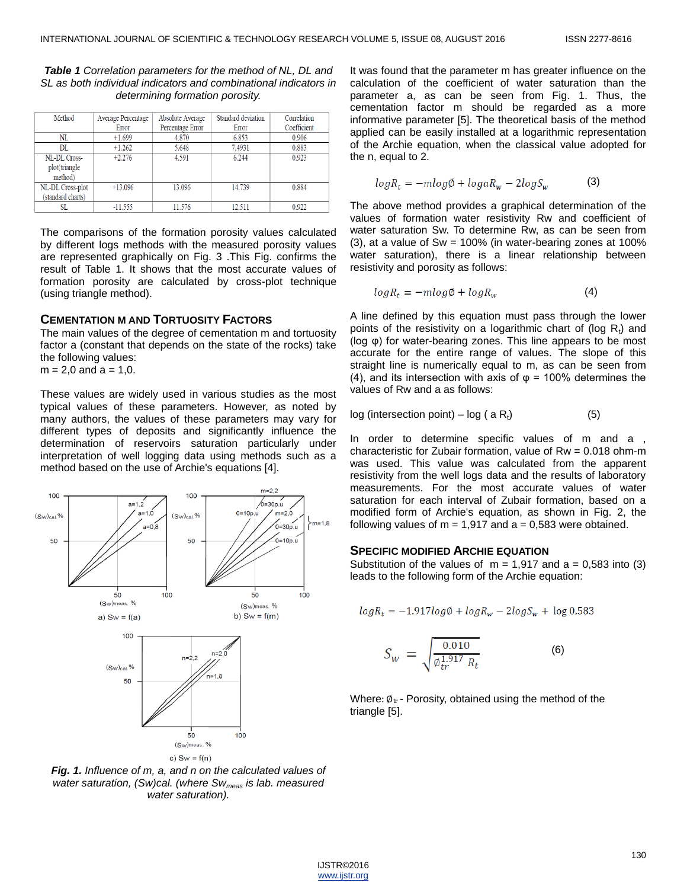*Table 1 Correlation parameters for the method of NL, DL and SL as both individual indicators and combinational indicators in determining formation porosity.*

| Method            | <b>Average Percentage</b> | <b>Absolute Average</b> | <b>Standard deviation</b> | Correlation |  |
|-------------------|---------------------------|-------------------------|---------------------------|-------------|--|
|                   | Error                     | Percentage Error        | Error                     | Coefficient |  |
| NL                | $+1.699$                  | 4.870                   | 6.853                     | 0.906       |  |
| DL                | $+1.262$                  | 5.648                   | 7.4931                    | 0.883       |  |
| NL-DL Cross-      | $+2.276$                  | 4.591                   | 6.244                     | 0.923       |  |
| plot(triangle     |                           |                         |                           |             |  |
| method)           |                           |                         |                           |             |  |
| NL-DL Cross-plot  | $+13.096$                 | 13.096                  | 14.739                    | 0.884       |  |
| (standard charts) |                           |                         |                           |             |  |
| SL                | $-11.555$                 | 11.576                  | 12.511                    | 0.922       |  |

The comparisons of the formation porosity values calculated by different logs methods with the measured porosity values are represented graphically on Fig. 3 .This Fig. confirms the result of Table 1. It shows that the most accurate values of formation porosity are calculated by cross-plot technique (using triangle method).

### **CEMENTATION M AND TORTUOSITY FACTORS**

The main values of the degree of cementation m and tortuosity factor a (constant that depends on the state of the rocks) take the following values:

 $m = 2,0$  and  $a = 1,0$ .

These values are widely used in various studies as the most typical values of these parameters. However, as noted by many authors, the values of these parameters may vary for different types of deposits and significantly influence the determination of reservoirs saturation particularly under interpretation of well logging data using methods such as a method based on the use of Archie's equations [4].



*Fig. 1. Influence of m, a, and n on the calculated values of water saturation, (Sw)cal. (where Swmeas is lab. measured water saturation).*

It was found that the parameter m has greater influence on the calculation of the coefficient of water saturation than the parameter a, as can be seen from Fig. 1. Thus, the cementation factor m should be regarded as a more informative parameter [5]. The theoretical basis of the method applied can be easily installed at a logarithmic representation of the Archie equation, when the classical value adopted for the n, equal to 2.

$$
log R_t = -mlog \phi + log a R_w - 2 log S_w \tag{3}
$$

The above method provides a graphical determination of the values of formation water resistivity Rw and coefficient of water saturation Sw. To determine Rw, as can be seen from  $(3)$ , at a value of Sw = 100% (in water-bearing zones at 100% water saturation), there is a linear relationship between resistivity and porosity as follows:

$$
log R_t = -mlog \phi + log R_w \tag{4}
$$

A line defined by this equation must pass through the lower points of the resistivity on a logarithmic chart of (log  $R_t$ ) and (log φ) for water-bearing zones. This line appears to be most accurate for the entire range of values. The slope of this straight line is numerically equal to m, as can be seen from (4), and its intersection with axis of  $\varphi$  = 100% determines the values of Rw and a as follows:

$$
log (intersection point) – log (a Rt)
$$
 (5)

In order to determine specific values of m and a , characteristic for Zubair formation, value of  $Rw = 0.018$  ohm-m was used. This value was calculated from the apparent resistivity from the well logs data and the results of laboratory measurements. For the most accurate values of water saturation for each interval of Zubair formation, based on a modified form of Archie's equation, as shown in Fig. 2, the following values of  $m = 1,917$  and  $a = 0,583$  were obtained.

#### **SPECIFIC MODIFIED ARCHIE EQUATION**

Substitution of the values of  $m = 1,917$  and  $a = 0,583$  into (3) leads to the following form of the Archie equation:

$$
logR_t = -1.917log\phi + logR_w - 2logS_w + log 0.583
$$

$$
S_W = \sqrt{\frac{0.010}{\phi_{tr}^{1.917} R_t}}
$$
 (6)

Where:  $\phi_{tr}$  - Porosity, obtained using the method of the triangle [5].